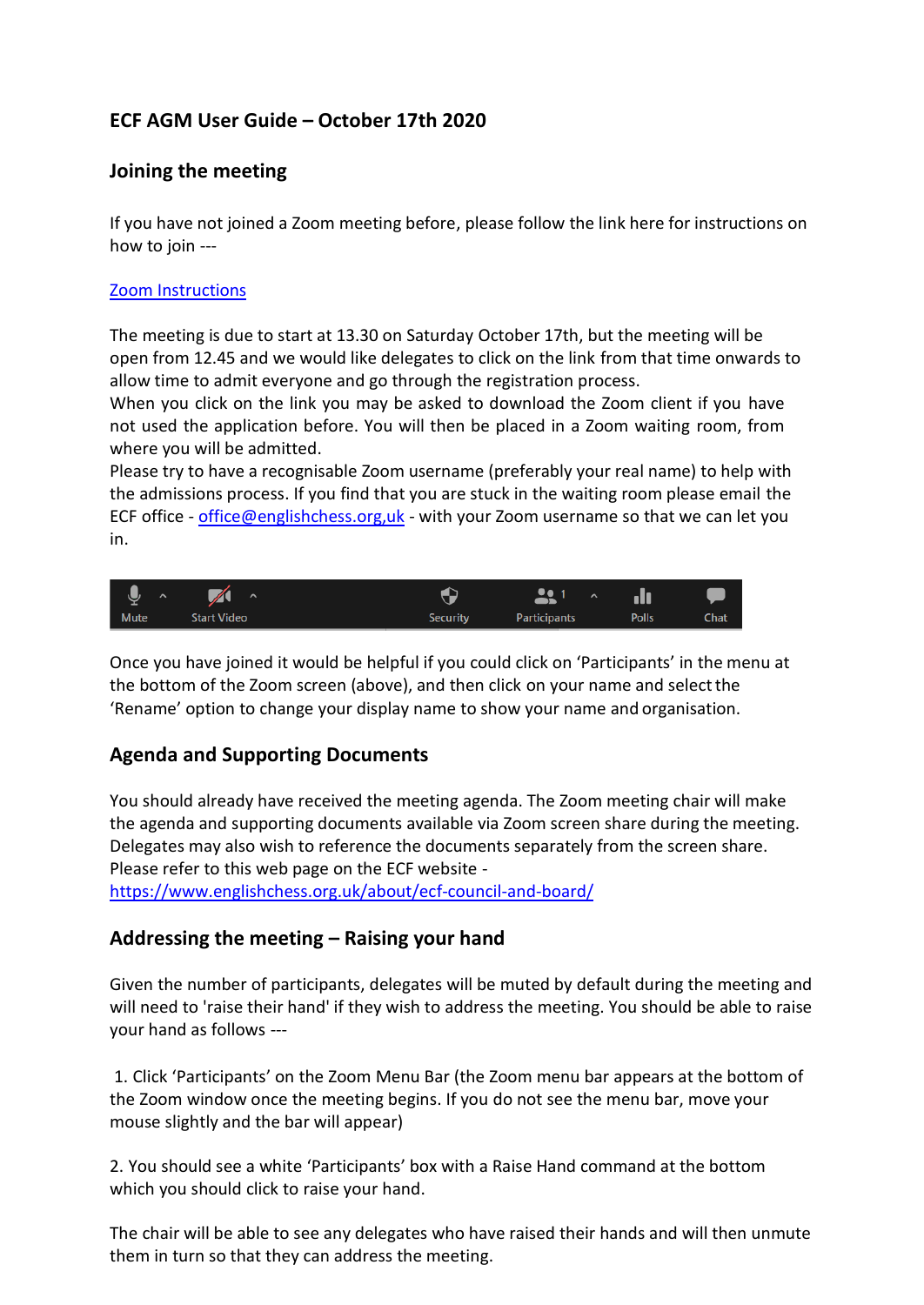# **ECF AGM User Guide – October 17th 2020**

### **Joining the meeting**

If you have not joined a Zoom meeting before, please follow the link here for instructions on how to join ---

#### [Zoom Instructions](https://support.zoom.us/hc/en-us/articles/201362193-Joining-a-meeting)

The meeting is due to start at 13.30 on Saturday October 17th, but the meeting will be open from 12.45 and we would like delegates to click on the link from that time onwards to allow time to admit everyone and go through the registration process.

When you click on the link you may be asked to download the Zoom client if you have not used the application before. You will then be placed in a Zoom waiting room, from where you will be admitted.

Please try to have a recognisable Zoom username (preferably your real name) to help with the admissions process. If you find that you are stuck in the waiting room please email the ECF office - [office@englishchess.org,uk](mailto:office@englishchess.org,uk) - with your Zoom username so that we can let you in.



Once you have joined it would be helpful if you could click on 'Participants' in the menu at the bottom of the Zoom screen (above), and then click on your name and selectthe 'Rename' option to change your display name to show your name and organisation.

# **Agenda and Supporting Documents**

You should already have received the meeting agenda. The Zoom meeting chair will make the agenda and supporting documents available via Zoom screen share during the meeting. Delegates may also wish to reference the documents separately from the screen share. Please refer to this web page on the ECF website <https://www.englishchess.org.uk/about/ecf-council-and-board/>

#### **Addressing the meeting – Raising your hand**

Given the number of participants, delegates will be muted by default during the meeting and will need to 'raise their hand' if they wish to address the meeting. You should be able to raise your hand as follows ---

1. Click 'Participants' on the Zoom Menu Bar (the Zoom menu bar appears at the bottom of the Zoom window once the meeting begins. If you do not see the menu bar, move your mouse slightly and the bar will appear)

2. You should see a white 'Participants' box with a Raise Hand command at the bottom which you should click to raise your hand.

The chair will be able to see any delegates who have raised their hands and will then unmute them in turn so that they can address the meeting.